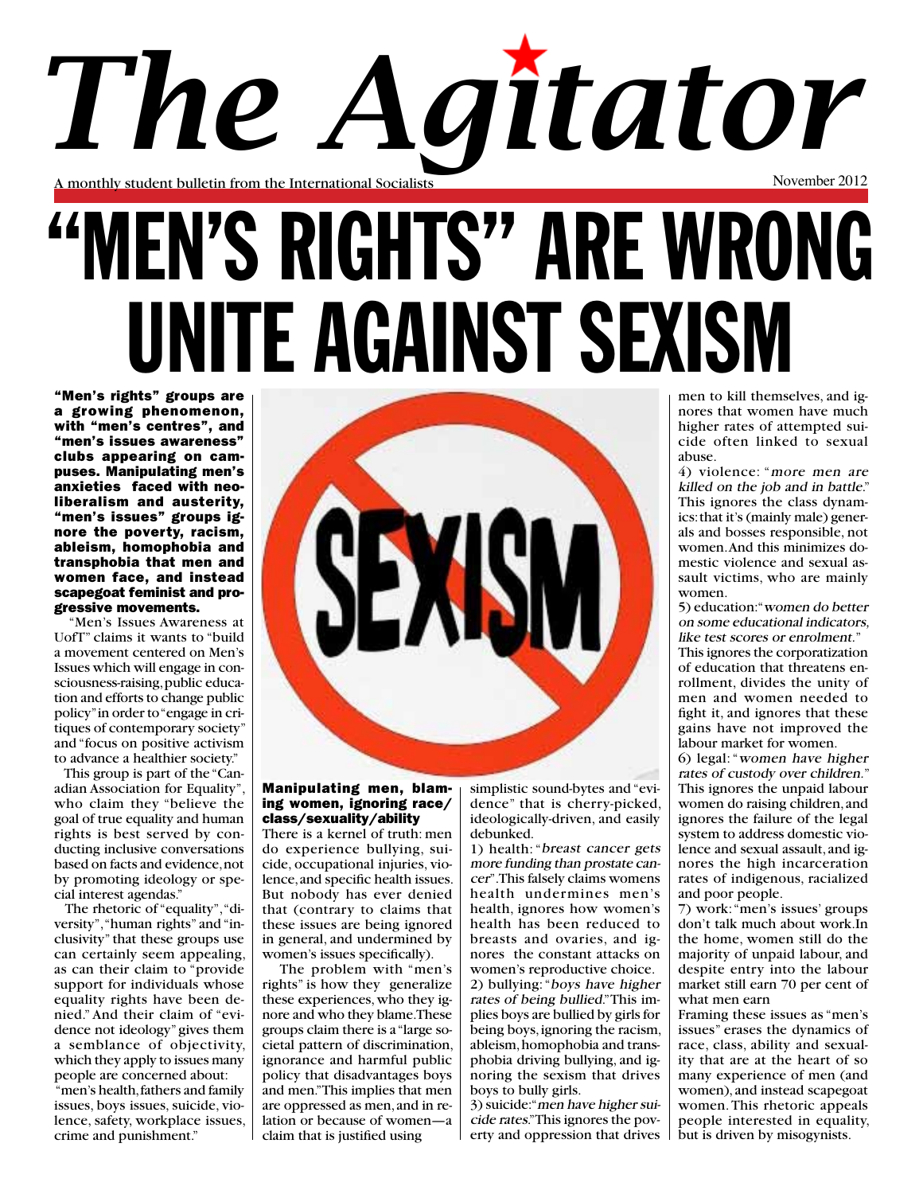# A monthly student bulletin from the International Socialists November 2012 *The Agitator*

# "MEN'S RIGHTS" ARE WRONG UNITE AGAINST SEXISM

"Men's rights" groups are a growing phenomenon, with "men's centres", and "men's issues awareness" clubs appearing on campuses. Manipulating men's anxieties faced with neoliberalism and austerity, "men's issues" groups ignore the poverty, racism, ableism, homophobia and transphobia that men and women face, and instead scapegoat feminist and progressive movements.

 "Men's Issues Awareness at UofT" claims it wants to "build a movement centered on Men's Issues which will engage in consciousness-raising, public education and efforts to change public policy" in order to "engage in critiques of contemporary society" and "focus on positive activism to advance a healthier society."

 This group is part of the "Canadian Association for Equality", who claim they "believe the goal of true equality and human rights is best served by conducting inclusive conversations based on facts and evidence, not by promoting ideology or special interest agendas."

 The rhetoric of "equality", "diversity", "human rights" and "inclusivity" that these groups use can certainly seem appealing, as can their claim to "provide support for individuals whose equality rights have been denied." And their claim of "evidence not ideology" gives them a semblance of objectivity, which they apply to issues many people are concerned about: "men's health, fathers and family

issues, boys issues, suicide, violence, safety, workplace issues, crime and punishment."



### Manipulating men, blaming women, ignoring race/ class/sexuality/ability

There is a kernel of truth: men do experience bullying, suicide, occupational injuries, violence, and specific health issues. But nobody has ever denied that (contrary to claims that these issues are being ignored in general, and undermined by women's issues specifically).

 The problem with "men's rights" is how they generalize these experiences, who they ignore and who they blame. These groups claim there is a "large societal pattern of discrimination, ignorance and harmful public policy that disadvantages boys and men." This implies that men are oppressed as men, and in relation or because of women—a claim that is justified using

simplistic sound-bytes and "evidence" that is cherry-picked, ideologically-driven, and easily debunked.

1) health: "breast cancer gets more funding than prostate cancer". This falsely claims womens health undermines men's health, ignores how women's health has been reduced to breasts and ovaries, and ignores the constant attacks on women's reproductive choice. 2) bullying: "boys have higher rates of being bullied." This implies boys are bullied by girls for being boys, ignoring the racism, ableism, homophobia and transphobia driving bullying, and ignoring the sexism that drives boys to bully girls.

3) suicide: "men have higher suicide rates."This ignores the poverty and oppression that drives men to kill themselves, and ignores that women have much higher rates of attempted suicide often linked to sexual abuse.

4) violence: "more men are killed on the job and in battle." This ignores the class dynamics: that it's (mainly male) generals and bosses responsible, not women. And this minimizes domestic violence and sexual assault victims, who are mainly women.

5) education: "women do better on some educational indicators, like test scores or enrolment."

This ignores the corporatization of education that threatens enrollment, divides the unity of men and women needed to fight it, and ignores that these gains have not improved the labour market for women.

6) legal: "women have higher rates of custody over children." This ignores the unpaid labour women do raising children, and ignores the failure of the legal system to address domestic violence and sexual assault, and ignores the high incarceration rates of indigenous, racialized and poor people.

7) work: "men's issues' groups don't talk much about work.In the home, women still do the majority of unpaid labour, and despite entry into the labour market still earn 70 per cent of what men earn

Framing these issues as "men's issues" erases the dynamics of race, class, ability and sexuality that are at the heart of so many experience of men (and women), and instead scapegoat women. This rhetoric appeals people interested in equality, but is driven by misogynists.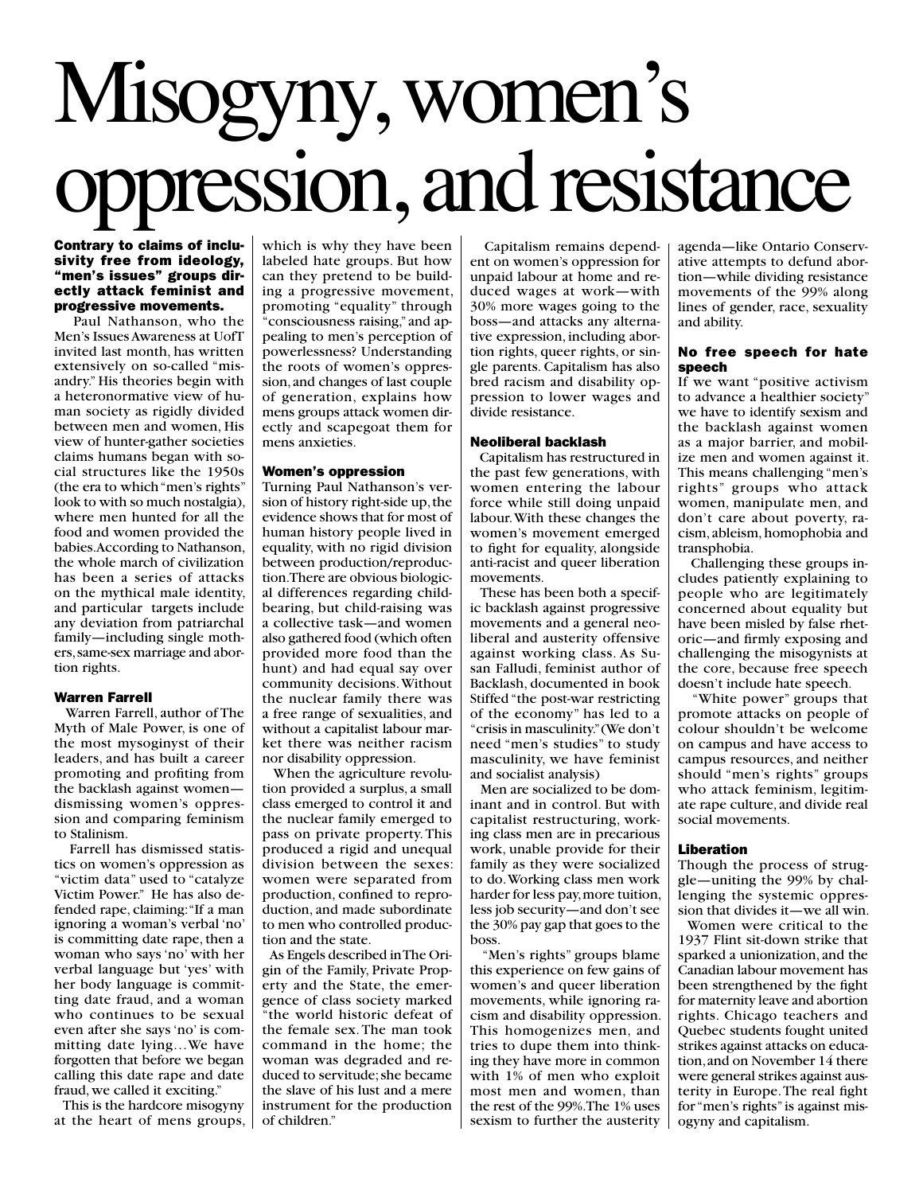# Misogyny, women's oppression, and resistance

### Contrary to claims of inclusivity free from ideology, "men's issues" groups directly attack feminist and progressive movements.

 Paul Nathanson, who the Men's Issues Awareness at UofT invited last month, has written extensively on so-called "misandry." His theories begin with a heteronormative view of human society as rigidly divided between men and women, His view of hunter-gather societies claims humans began with social structures like the 1950s (the era to which "men's rights" look to with so much nostalgia), where men hunted for all the food and women provided the babies. According to Nathanson, the whole march of civilization has been a series of attacks on the mythical male identity, and particular targets include any deviation from patriarchal family—including single mothers, same-sex marriage and abortion rights.

### Warren Farrell

 Warren Farrell, author of The Myth of Male Power, is one of the most mysoginyst of their leaders, and has built a career promoting and profiting from the backlash against women dismissing women's oppression and comparing feminism to Stalinism.

 Farrell has dismissed statistics on women's oppression as "victim data" used to "catalyze Victim Power." He has also defended rape, claiming: "If a man ignoring a woman's verbal 'no' is committing date rape, then a woman who says 'no' with her verbal language but 'yes' with her body language is committing date fraud, and a woman who continues to be sexual even after she says 'no' is committing date lying…We have forgotten that before we began calling this date rape and date fraud, we called it exciting."

 This is the hardcore misogyny at the heart of mens groups, which is why they have been labeled hate groups. But how can they pretend to be building a progressive movement, promoting "equality" through "consciousness raising," and appealing to men's perception of powerlessness? Understanding the roots of women's oppression, and changes of last couple of generation, explains how mens groups attack women directly and scapegoat them for mens anxieties.

### Women's oppression

Turning Paul Nathanson's version of history right-side up, the evidence shows that for most of human history people lived in equality, with no rigid division between production/reproduction. There are obvious biological differences regarding childbearing, but child-raising was a collective task—and women also gathered food (which often provided more food than the hunt) and had equal say over community decisions. Without the nuclear family there was a free range of sexualities, and without a capitalist labour market there was neither racism nor disability oppression.

 When the agriculture revolution provided a surplus, a small class emerged to control it and the nuclear family emerged to pass on private property. This produced a rigid and unequal division between the sexes: women were separated from production, confined to reproduction, and made subordinate to men who controlled production and the state.

 As Engels described in The Origin of the Family, Private Property and the State, the emergence of class society marked "the world historic defeat of the female sex. The man took command in the home; the woman was degraded and reduced to servitude; she became the slave of his lust and a mere instrument for the production of children."

 Capitalism remains dependent on women's oppression for unpaid labour at home and reduced wages at work—with 30% more wages going to the boss—and attacks any alternative expression, including abortion rights, queer rights, or single parents. Capitalism has also bred racism and disability oppression to lower wages and divide resistance.

### Neoliberal backlash

 Capitalism has restructured in the past few generations, with women entering the labour force while still doing unpaid labour. With these changes the women's movement emerged to fight for equality, alongside anti-racist and queer liberation movements.

 These has been both a specific backlash against progressive movements and a general neoliberal and austerity offensive against working class. As Susan Falludi, feminist author of Backlash, documented in book Stiffed "the post-war restricting of the economy" has led to a "crisis in masculinity." (We don't need "men's studies" to study masculinity, we have feminist and socialist analysis)

 Men are socialized to be dominant and in control. But with capitalist restructuring, working class men are in precarious work, unable provide for their family as they were socialized to do. Working class men work harder for less pay, more tuition, less job security—and don't see the 30% pay gap that goes to the boss.

 "Men's rights" groups blame this experience on few gains of women's and queer liberation movements, while ignoring racism and disability oppression. This homogenizes men, and tries to dupe them into thinking they have more in common with 1% of men who exploit most men and women, than the rest of the 99%. The 1% uses sexism to further the austerity

agenda—like Ontario Conservative attempts to defund abortion—while dividing resistance movements of the 99% along lines of gender, race, sexuality and ability.

### No free speech for hate speech

If we want "positive activism to advance a healthier society" we have to identify sexism and the backlash against women as a major barrier, and mobilize men and women against it. This means challenging "men's rights" groups who attack women, manipulate men, and don't care about poverty, racism, ableism, homophobia and transphobia.

 Challenging these groups includes patiently explaining to people who are legitimately concerned about equality but have been misled by false rhetoric—and firmly exposing and challenging the misogynists at the core, because free speech doesn't include hate speech.

 "White power" groups that promote attacks on people of colour shouldn't be welcome on campus and have access to campus resources, and neither should "men's rights" groups who attack feminism, legitimate rape culture, and divide real social movements.

### Liberation

Though the process of struggle—uniting the 99% by challenging the systemic oppression that divides it—we all win.

 Women were critical to the 1937 Flint sit-down strike that sparked a unionization, and the Canadian labour movement has been strengthened by the fight for maternity leave and abortion rights. Chicago teachers and Quebec students fought united strikes against attacks on education, and on November 14 there were general strikes against austerity in Europe. The real fight for "men's rights" is against misogyny and capitalism.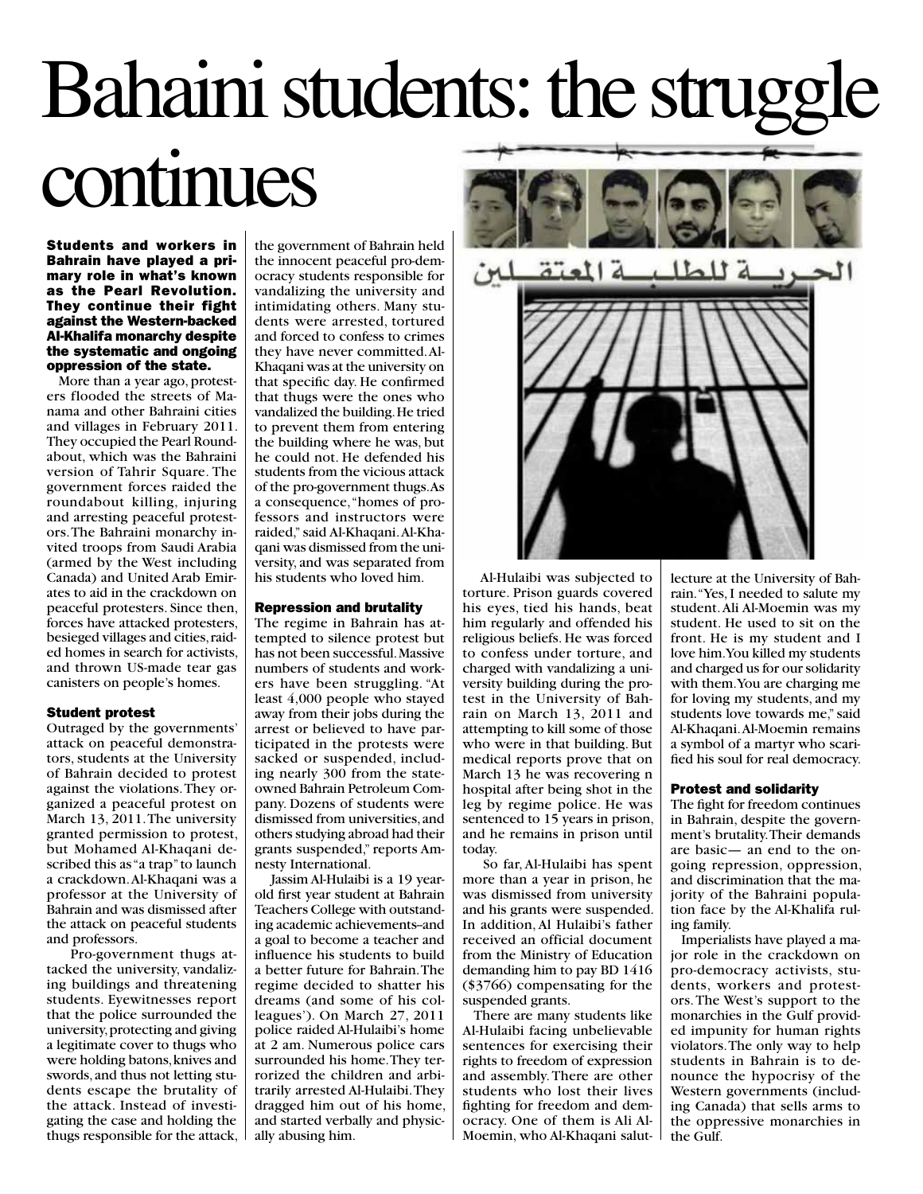## Bahaini students: the struggl continues

Students and workers in Bahrain have played a primary role in what's known as the Pearl Revolution. They continue their fight against the Western-backed Al-Khalifa monarchy despite the systematic and ongoing oppression of the state.

 More than a year ago, protesters flooded the streets of Manama and other Bahraini cities and villages in February 2011. They occupied the Pearl Roundabout, which was the Bahraini version of Tahrir Square. The government forces raided the roundabout killing, injuring and arresting peaceful protestors. The Bahraini monarchy invited troops from Saudi Arabia (armed by the West including Canada) and United Arab Emirates to aid in the crackdown on peaceful protesters. Since then, forces have attacked protesters, besieged villages and cities, raided homes in search for activists, and thrown US-made tear gas canisters on people's homes.

### Student protest

Outraged by the governments' attack on peaceful demonstrators, students at the University of Bahrain decided to protest against the violations. They organized a peaceful protest on March 13, 2011. The university granted permission to protest, but Mohamed Al-Khaqani described this as "a trap" to launch a crackdown. Al-Khaqani was a professor at the University of Bahrain and was dismissed after the attack on peaceful students and professors.

 Pro-government thugs attacked the university, vandalizing buildings and threatening students. Eyewitnesses report that the police surrounded the university, protecting and giving a legitimate cover to thugs who were holding batons, knives and swords, and thus not letting students escape the brutality of the attack. Instead of investigating the case and holding the thugs responsible for the attack,

the government of Bahrain held the innocent peaceful pro-democracy students responsible for vandalizing the university and intimidating others. Many students were arrested, tortured and forced to confess to crimes they have never committed. Al-Khaqani was at the university on that specific day. He confirmed that thugs were the ones who vandalized the building. He tried to prevent them from entering the building where he was, but he could not. He defended his students from the vicious attack of the pro-government thugs. As a consequence, "homes of professors and instructors were raided," said Al-Khaqani. Al-Khaqani was dismissed from the university, and was separated from his students who loved him.

### Repression and brutality

The regime in Bahrain has attempted to silence protest but has not been successful. Massive numbers of students and workers have been struggling. "At least 4,000 people who stayed away from their jobs during the arrest or believed to have participated in the protests were sacked or suspended, including nearly 300 from the stateowned Bahrain Petroleum Company. Dozens of students were dismissed from universities, and others studying abroad had their grants suspended," reports Amnesty International.

 Jassim Al-Hulaibi is a 19 yearold first year student at Bahrain Teachers College with outstanding academic achievements--and a goal to become a teacher and influence his students to build a better future for Bahrain. The regime decided to shatter his dreams (and some of his colleagues'). On March 27, 2011 police raided Al-Hulaibi's home at 2 am. Numerous police cars surrounded his home. They terrorized the children and arbitrarily arrested Al-Hulaibi. They dragged him out of his home, and started verbally and physically abusing him.



 Al-Hulaibi was subjected to torture. Prison guards covered his eyes, tied his hands, beat him regularly and offended his religious beliefs. He was forced to confess under torture, and charged with vandalizing a university building during the protest in the University of Bahrain on March 13, 2011 and attempting to kill some of those who were in that building. But medical reports prove that on March 13 he was recovering n hospital after being shot in the leg by regime police. He was sentenced to 15 years in prison, and he remains in prison until today.

 So far, Al-Hulaibi has spent more than a year in prison, he was dismissed from university and his grants were suspended. In addition, Al Hulaibi's father received an official document from the Ministry of Education demanding him to pay BD 1416 (\$3766) compensating for the suspended grants.

 There are many students like Al-Hulaibi facing unbelievable sentences for exercising their rights to freedom of expression and assembly. There are other students who lost their lives fighting for freedom and democracy. One of them is Ali Al-Moemin, who Al-Khaqani salutlecture at the University of Bahrain. "Yes, I needed to salute my student. Ali Al-Moemin was my student. He used to sit on the front. He is my student and I love him. You killed my students and charged us for our solidarity with them. You are charging me for loving my students, and my students love towards me," said Al-Khaqani. Al-Moemin remains a symbol of a martyr who scarified his soul for real democracy.

#### Protest and solidarity

The fight for freedom continues in Bahrain, despite the government's brutality. Their demands are basic— an end to the ongoing repression, oppression, and discrimination that the majority of the Bahraini population face by the Al-Khalifa ruling family.

 Imperialists have played a major role in the crackdown on pro-democracy activists, students, workers and protestors. The West's support to the monarchies in the Gulf provided impunity for human rights violators. The only way to help students in Bahrain is to denounce the hypocrisy of the Western governments (including Canada) that sells arms to the oppressive monarchies in the Gulf.